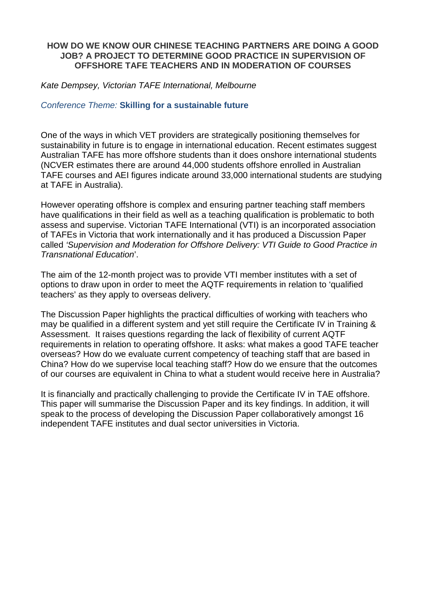#### **HOW DO WE KNOW OUR CHINESE TEACHING PARTNERS ARE DOING A GOOD JOB? A PROJECT TO DETERMINE GOOD PRACTICE IN SUPERVISION OF OFFSHORE TAFE TEACHERS AND IN MODERATION OF COURSES**

Kate Dempsey, Victorian TAFE International, Melbourne

Conference Theme: **Skilling for a sustainable future** 

One of the ways in which VET providers are strategically positioning themselves for sustainability in future is to engage in international education. Recent estimates suggest Australian TAFE has more offshore students than it does onshore international students (NCVER estimates there are around 44,000 students offshore enrolled in Australian TAFE courses and AEI figures indicate around 33,000 international students are studying at TAFE in Australia).

However operating offshore is complex and ensuring partner teaching staff members have qualifications in their field as well as a teaching qualification is problematic to both assess and supervise. Victorian TAFE International (VTI) is an incorporated association of TAFEs in Victoria that work internationally and it has produced a Discussion Paper called 'Supervision and Moderation for Offshore Delivery: VTI Guide to Good Practice in Transnational Education'.

The aim of the 12-month project was to provide VTI member institutes with a set of options to draw upon in order to meet the AQTF requirements in relation to 'qualified teachers' as they apply to overseas delivery.

The Discussion Paper highlights the practical difficulties of working with teachers who may be qualified in a different system and yet still require the Certificate IV in Training & Assessment. It raises questions regarding the lack of flexibility of current AQTF requirements in relation to operating offshore. It asks: what makes a good TAFE teacher overseas? How do we evaluate current competency of teaching staff that are based in China? How do we supervise local teaching staff? How do we ensure that the outcomes of our courses are equivalent in China to what a student would receive here in Australia?

It is financially and practically challenging to provide the Certificate IV in TAE offshore. This paper will summarise the Discussion Paper and its key findings. In addition, it will speak to the process of developing the Discussion Paper collaboratively amongst 16 independent TAFE institutes and dual sector universities in Victoria.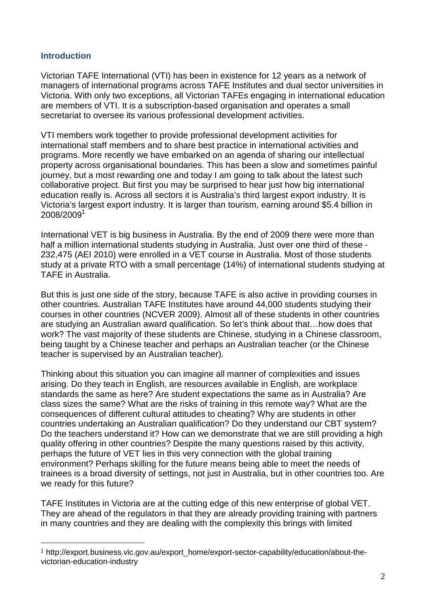#### **Introduction**

 $\overline{a}$ 

Victorian TAFE International (VTI) has been in existence for 12 years as a network of managers of international programs across TAFE Institutes and dual sector universities in Victoria. With only two exceptions, all Victorian TAFEs engaging in international education are members of VTI. It is a subscription-based organisation and operates a small secretariat to oversee its various professional development activities.

VTI members work together to provide professional development activities for international staff members and to share best practice in international activities and programs. More recently we have embarked on an agenda of sharing our intellectual property across organisational boundaries. This has been a slow and sometimes painful journey, but a most rewarding one and today I am going to talk about the latest such collaborative project. But first you may be surprised to hear just how big international education really is. Across all sectors it is Australia's third largest export industry. It is Victoria's largest export industry. It is larger than tourism, earning around \$5.4 billion in  $2008\allowbreak /2009^1$ 

International VET is big business in Australia. By the end of 2009 there were more than half a million international students studying in Australia. Just over one third of these - 232,475 (AEI 2010) were enrolled in a VET course in Australia. Most of those students study at a private RTO with a small percentage (14%) of international students studying at TAFE in Australia.

But this is just one side of the story, because TAFE is also active in providing courses in other countries. Australian TAFE Institutes have around 44,000 students studying their courses in other countries (NCVER 2009). Almost all of these students in other countries are studying an Australian award qualification. So let's think about that…how does that work? The vast majority of these students are Chinese, studying in a Chinese classroom, being taught by a Chinese teacher and perhaps an Australian teacher (or the Chinese teacher is supervised by an Australian teacher).

Thinking about this situation you can imagine all manner of complexities and issues arising. Do they teach in English, are resources available in English, are workplace standards the same as here? Are student expectations the same as in Australia? Are class sizes the same? What are the risks of training in this remote way? What are the consequences of different cultural attitudes to cheating? Why are students in other countries undertaking an Australian qualification? Do they understand our CBT system? Do the teachers understand it? How can we demonstrate that we are still providing a high quality offering in other countries? Despite the many questions raised by this activity, perhaps the future of VET lies in this very connection with the global training environment? Perhaps skilling for the future means being able to meet the needs of trainees is a broad diversity of settings, not just in Australia, but in other countries too. Are we ready for this future?

TAFE Institutes in Victoria are at the cutting edge of this new enterprise of global VET. They are ahead of the regulators in that they are already providing training with partners in many countries and they are dealing with the complexity this brings with limited

<sup>1</sup> http://export.business.vic.gov.au/export\_home/export-sector-capability/education/about-thevictorian-education-industry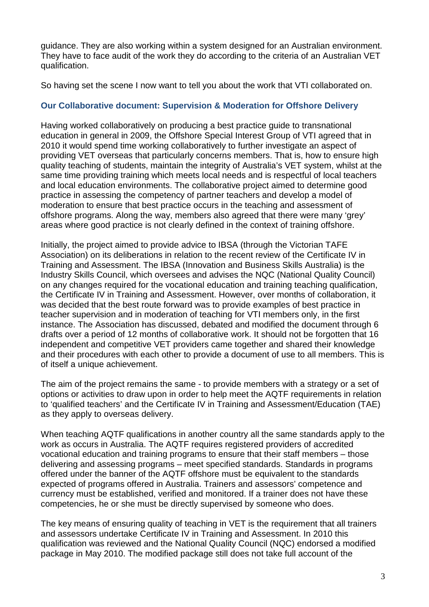guidance. They are also working within a system designed for an Australian environment. They have to face audit of the work they do according to the criteria of an Australian VET qualification.

So having set the scene I now want to tell you about the work that VTI collaborated on.

#### **Our Collaborative document: Supervision & Moderation for Offshore Delivery**

Having worked collaboratively on producing a best practice guide to transnational education in general in 2009, the Offshore Special Interest Group of VTI agreed that in 2010 it would spend time working collaboratively to further investigate an aspect of providing VET overseas that particularly concerns members. That is, how to ensure high quality teaching of students, maintain the integrity of Australia's VET system, whilst at the same time providing training which meets local needs and is respectful of local teachers and local education environments. The collaborative project aimed to determine good practice in assessing the competency of partner teachers and develop a model of moderation to ensure that best practice occurs in the teaching and assessment of offshore programs. Along the way, members also agreed that there were many 'grey' areas where good practice is not clearly defined in the context of training offshore.

Initially, the project aimed to provide advice to IBSA (through the Victorian TAFE Association) on its deliberations in relation to the recent review of the Certificate IV in Training and Assessment. The IBSA (Innovation and Business Skills Australia) is the Industry Skills Council, which oversees and advises the NQC (National Quality Council) on any changes required for the vocational education and training teaching qualification, the Certificate IV in Training and Assessment. However, over months of collaboration, it was decided that the best route forward was to provide examples of best practice in teacher supervision and in moderation of teaching for VTI members only, in the first instance. The Association has discussed, debated and modified the document through 6 drafts over a period of 12 months of collaborative work. It should not be forgotten that 16 independent and competitive VET providers came together and shared their knowledge and their procedures with each other to provide a document of use to all members. This is of itself a unique achievement.

The aim of the project remains the same - to provide members with a strategy or a set of options or activities to draw upon in order to help meet the AQTF requirements in relation to 'qualified teachers' and the Certificate IV in Training and Assessment/Education (TAE) as they apply to overseas delivery.

When teaching AQTF qualifications in another country all the same standards apply to the work as occurs in Australia. The AQTF requires registered providers of accredited vocational education and training programs to ensure that their staff members – those delivering and assessing programs – meet specified standards. Standards in programs offered under the banner of the AQTF offshore must be equivalent to the standards expected of programs offered in Australia. Trainers and assessors' competence and currency must be established, verified and monitored. If a trainer does not have these competencies, he or she must be directly supervised by someone who does.

The key means of ensuring quality of teaching in VET is the requirement that all trainers and assessors undertake Certificate IV in Training and Assessment. In 2010 this qualification was reviewed and the National Quality Council (NQC) endorsed a modified package in May 2010. The modified package still does not take full account of the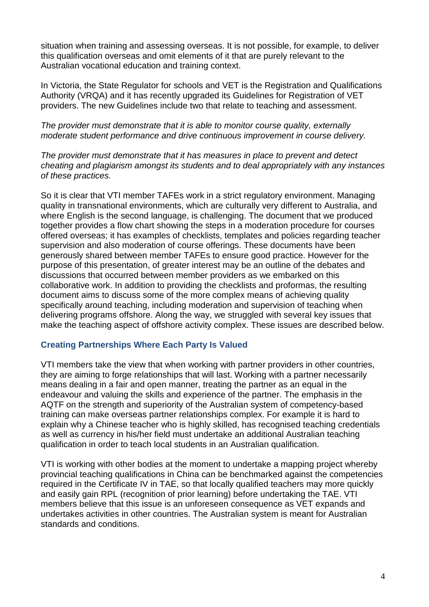situation when training and assessing overseas. It is not possible, for example, to deliver this qualification overseas and omit elements of it that are purely relevant to the Australian vocational education and training context.

In Victoria, the State Regulator for schools and VET is the Registration and Qualifications Authority (VRQA) and it has recently upgraded its Guidelines for Registration of VET providers. The new Guidelines include two that relate to teaching and assessment.

The provider must demonstrate that it is able to monitor course quality, externally moderate student performance and drive continuous improvement in course delivery.

The provider must demonstrate that it has measures in place to prevent and detect cheating and plagiarism amongst its students and to deal appropriately with any instances of these practices.

So it is clear that VTI member TAFEs work in a strict regulatory environment. Managing quality in transnational environments, which are culturally very different to Australia, and where English is the second language, is challenging. The document that we produced together provides a flow chart showing the steps in a moderation procedure for courses offered overseas; it has examples of checklists, templates and policies regarding teacher supervision and also moderation of course offerings. These documents have been generously shared between member TAFEs to ensure good practice. However for the purpose of this presentation, of greater interest may be an outline of the debates and discussions that occurred between member providers as we embarked on this collaborative work. In addition to providing the checklists and proformas, the resulting document aims to discuss some of the more complex means of achieving quality specifically around teaching, including moderation and supervision of teaching when delivering programs offshore. Along the way, we struggled with several key issues that make the teaching aspect of offshore activity complex. These issues are described below.

#### **Creating Partnerships Where Each Party Is Valued**

VTI members take the view that when working with partner providers in other countries, they are aiming to forge relationships that will last. Working with a partner necessarily means dealing in a fair and open manner, treating the partner as an equal in the endeavour and valuing the skills and experience of the partner. The emphasis in the AQTF on the strength and superiority of the Australian system of competency-based training can make overseas partner relationships complex. For example it is hard to explain why a Chinese teacher who is highly skilled, has recognised teaching credentials as well as currency in his/her field must undertake an additional Australian teaching qualification in order to teach local students in an Australian qualification.

VTI is working with other bodies at the moment to undertake a mapping project whereby provincial teaching qualifications in China can be benchmarked against the competencies required in the Certificate IV in TAE, so that locally qualified teachers may more quickly and easily gain RPL (recognition of prior learning) before undertaking the TAE. VTI members believe that this issue is an unforeseen consequence as VET expands and undertakes activities in other countries. The Australian system is meant for Australian standards and conditions.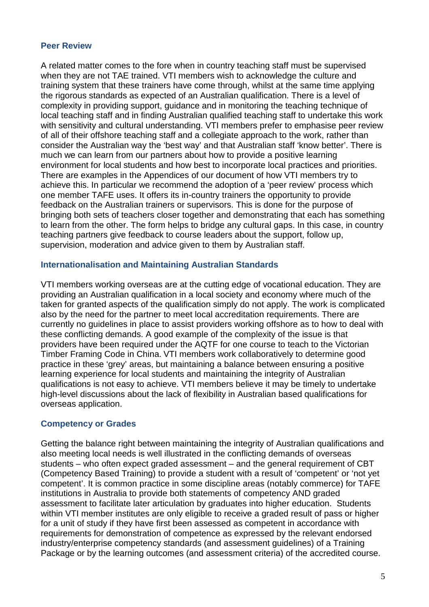#### **Peer Review**

A related matter comes to the fore when in country teaching staff must be supervised when they are not TAE trained. VTI members wish to acknowledge the culture and training system that these trainers have come through, whilst at the same time applying the rigorous standards as expected of an Australian qualification. There is a level of complexity in providing support, guidance and in monitoring the teaching technique of local teaching staff and in finding Australian qualified teaching staff to undertake this work with sensitivity and cultural understanding. VTI members prefer to emphasise peer review of all of their offshore teaching staff and a collegiate approach to the work, rather than consider the Australian way the 'best way' and that Australian staff 'know better'. There is much we can learn from our partners about how to provide a positive learning environment for local students and how best to incorporate local practices and priorities. There are examples in the Appendices of our document of how VTI members try to achieve this. In particular we recommend the adoption of a 'peer review' process which one member TAFE uses. It offers its in-country trainers the opportunity to provide feedback on the Australian trainers or supervisors. This is done for the purpose of bringing both sets of teachers closer together and demonstrating that each has something to learn from the other. The form helps to bridge any cultural gaps. In this case, in country teaching partners give feedback to course leaders about the support, follow up, supervision, moderation and advice given to them by Australian staff.

#### **Internationalisation and Maintaining Australian Standards**

VTI members working overseas are at the cutting edge of vocational education. They are providing an Australian qualification in a local society and economy where much of the taken for granted aspects of the qualification simply do not apply. The work is complicated also by the need for the partner to meet local accreditation requirements. There are currently no guidelines in place to assist providers working offshore as to how to deal with these conflicting demands. A good example of the complexity of the issue is that providers have been required under the AQTF for one course to teach to the Victorian Timber Framing Code in China. VTI members work collaboratively to determine good practice in these 'grey' areas, but maintaining a balance between ensuring a positive learning experience for local students and maintaining the integrity of Australian qualifications is not easy to achieve. VTI members believe it may be timely to undertake high-level discussions about the lack of flexibility in Australian based qualifications for overseas application.

#### **Competency or Grades**

Getting the balance right between maintaining the integrity of Australian qualifications and also meeting local needs is well illustrated in the conflicting demands of overseas students – who often expect graded assessment – and the general requirement of CBT (Competency Based Training) to provide a student with a result of 'competent' or 'not yet competent'. It is common practice in some discipline areas (notably commerce) for TAFE institutions in Australia to provide both statements of competency AND graded assessment to facilitate later articulation by graduates into higher education. Students within VTI member institutes are only eligible to receive a graded result of pass or higher for a unit of study if they have first been assessed as competent in accordance with requirements for demonstration of competence as expressed by the relevant endorsed industry/enterprise competency standards (and assessment guidelines) of a Training Package or by the learning outcomes (and assessment criteria) of the accredited course.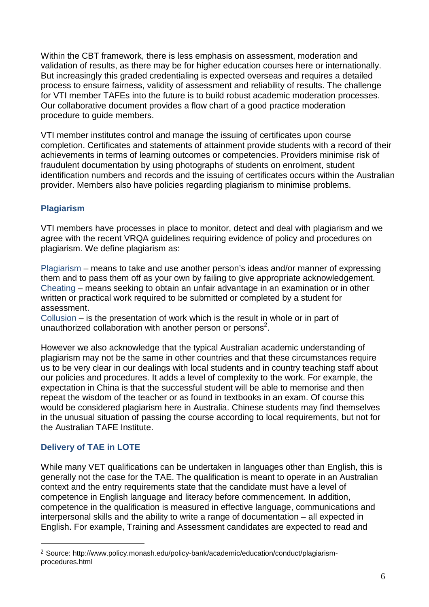Within the CBT framework, there is less emphasis on assessment, moderation and validation of results, as there may be for higher education courses here or internationally. But increasingly this graded credentialing is expected overseas and requires a detailed process to ensure fairness, validity of assessment and reliability of results. The challenge for VTI member TAFEs into the future is to build robust academic moderation processes. Our collaborative document provides a flow chart of a good practice moderation procedure to guide members.

VTI member institutes control and manage the issuing of certificates upon course completion. Certificates and statements of attainment provide students with a record of their achievements in terms of learning outcomes or competencies. Providers minimise risk of fraudulent documentation by using photographs of students on enrolment, student identification numbers and records and the issuing of certificates occurs within the Australian provider. Members also have policies regarding plagiarism to minimise problems.

## **Plagiarism**

VTI members have processes in place to monitor, detect and deal with plagiarism and we agree with the recent VRQA guidelines requiring evidence of policy and procedures on plagiarism. We define plagiarism as:

Plagiarism – means to take and use another person's ideas and/or manner of expressing them and to pass them off as your own by failing to give appropriate acknowledgement. Cheating – means seeking to obtain an unfair advantage in an examination or in other written or practical work required to be submitted or completed by a student for assessment.

Collusion – is the presentation of work which is the result in whole or in part of unauthorized collaboration with another person or persons<sup>2</sup>.

However we also acknowledge that the typical Australian academic understanding of plagiarism may not be the same in other countries and that these circumstances require us to be very clear in our dealings with local students and in country teaching staff about our policies and procedures. It adds a level of complexity to the work. For example, the expectation in China is that the successful student will be able to memorise and then repeat the wisdom of the teacher or as found in textbooks in an exam. Of course this would be considered plagiarism here in Australia. Chinese students may find themselves in the unusual situation of passing the course according to local requirements, but not for the Australian TAFE Institute.

# **Delivery of TAE in LOTE**

 $\overline{a}$ 

While many VET qualifications can be undertaken in languages other than English, this is generally not the case for the TAE. The qualification is meant to operate in an Australian context and the entry requirements state that the candidate must have a level of competence in English language and literacy before commencement. In addition, competence in the qualification is measured in effective language, communications and interpersonal skills and the ability to write a range of documentation – all expected in English. For example, Training and Assessment candidates are expected to read and

<sup>2</sup> Source: http://www.policy.monash.edu/policy-bank/academic/education/conduct/plagiarismprocedures.html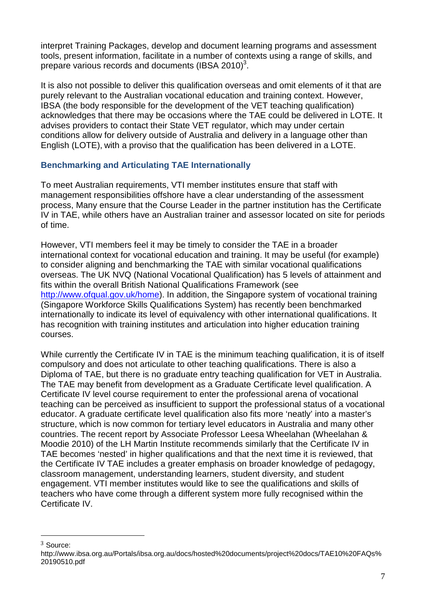interpret Training Packages, develop and document learning programs and assessment tools, present information, facilitate in a number of contexts using a range of skills, and prepare various records and documents (IBSA 2010)<sup>3</sup>.

It is also not possible to deliver this qualification overseas and omit elements of it that are purely relevant to the Australian vocational education and training context. However, IBSA (the body responsible for the development of the VET teaching qualification) acknowledges that there may be occasions where the TAE could be delivered in LOTE. It advises providers to contact their State VET regulator, which may under certain conditions allow for delivery outside of Australia and delivery in a language other than English (LOTE), with a proviso that the qualification has been delivered in a LOTE.

## **Benchmarking and Articulating TAE Internationally**

To meet Australian requirements, VTI member institutes ensure that staff with management responsibilities offshore have a clear understanding of the assessment process, Many ensure that the Course Leader in the partner institution has the Certificate IV in TAE, while others have an Australian trainer and assessor located on site for periods of time.

However, VTI members feel it may be timely to consider the TAE in a broader international context for vocational education and training. It may be useful (for example) to consider aligning and benchmarking the TAE with similar vocational qualifications overseas. The UK NVQ (National Vocational Qualification) has 5 levels of attainment and fits within the overall British National Qualifications Framework (see http://www.ofqual.gov.uk/home). In addition, the Singapore system of vocational training (Singapore Workforce Skills Qualifications System) has recently been benchmarked internationally to indicate its level of equivalency with other international qualifications. It has recognition with training institutes and articulation into higher education training courses.

While currently the Certificate IV in TAE is the minimum teaching qualification, it is of itself compulsory and does not articulate to other teaching qualifications. There is also a Diploma of TAE, but there is no graduate entry teaching qualification for VET in Australia. The TAE may benefit from development as a Graduate Certificate level qualification. A Certificate IV level course requirement to enter the professional arena of vocational teaching can be perceived as insufficient to support the professional status of a vocational educator. A graduate certificate level qualification also fits more 'neatly' into a master's structure, which is now common for tertiary level educators in Australia and many other countries. The recent report by Associate Professor Leesa Wheelahan (Wheelahan & Moodie 2010) of the LH Martin Institute recommends similarly that the Certificate IV in TAE becomes 'nested' in higher qualifications and that the next time it is reviewed, that the Certificate IV TAE includes a greater emphasis on broader knowledge of pedagogy, classroom management, understanding learners, student diversity, and student engagement. VTI member institutes would like to see the qualifications and skills of teachers who have come through a different system more fully recognised within the Certificate IV.

 $\overline{a}$ 

<sup>3</sup> Source:

http://www.ibsa.org.au/Portals/ibsa.org.au/docs/hosted%20documents/project%20docs/TAE10%20FAQs% 20190510.pdf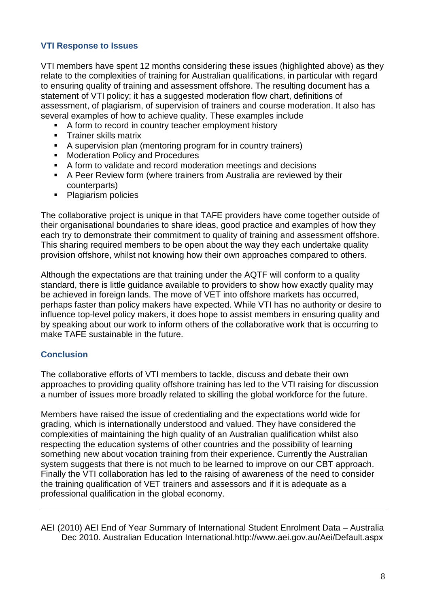## **VTI Response to Issues**

VTI members have spent 12 months considering these issues (highlighted above) as they relate to the complexities of training for Australian qualifications, in particular with regard to ensuring quality of training and assessment offshore. The resulting document has a statement of VTI policy; it has a suggested moderation flow chart, definitions of assessment, of plagiarism, of supervision of trainers and course moderation. It also has several examples of how to achieve quality. These examples include

- A form to record in country teacher employment history
- **Trainer skills matrix**
- A supervision plan (mentoring program for in country trainers)
- **Moderation Policy and Procedures**
- A form to validate and record moderation meetings and decisions
- A Peer Review form (where trainers from Australia are reviewed by their counterparts)
- Plagiarism policies

The collaborative project is unique in that TAFE providers have come together outside of their organisational boundaries to share ideas, good practice and examples of how they each try to demonstrate their commitment to quality of training and assessment offshore. This sharing required members to be open about the way they each undertake quality provision offshore, whilst not knowing how their own approaches compared to others.

Although the expectations are that training under the AQTF will conform to a quality standard, there is little guidance available to providers to show how exactly quality may be achieved in foreign lands. The move of VET into offshore markets has occurred, perhaps faster than policy makers have expected. While VTI has no authority or desire to influence top-level policy makers, it does hope to assist members in ensuring quality and by speaking about our work to inform others of the collaborative work that is occurring to make TAFE sustainable in the future.

## **Conclusion**

The collaborative efforts of VTI members to tackle, discuss and debate their own approaches to providing quality offshore training has led to the VTI raising for discussion a number of issues more broadly related to skilling the global workforce for the future.

Members have raised the issue of credentialing and the expectations world wide for grading, which is internationally understood and valued. They have considered the complexities of maintaining the high quality of an Australian qualification whilst also respecting the education systems of other countries and the possibility of learning something new about vocation training from their experience. Currently the Australian system suggests that there is not much to be learned to improve on our CBT approach. Finally the VTI collaboration has led to the raising of awareness of the need to consider the training qualification of VET trainers and assessors and if it is adequate as a professional qualification in the global economy.

AEI (2010) AEI End of Year Summary of International Student Enrolment Data – Australia Dec 2010. Australian Education International.http://www.aei.gov.au/Aei/Default.aspx